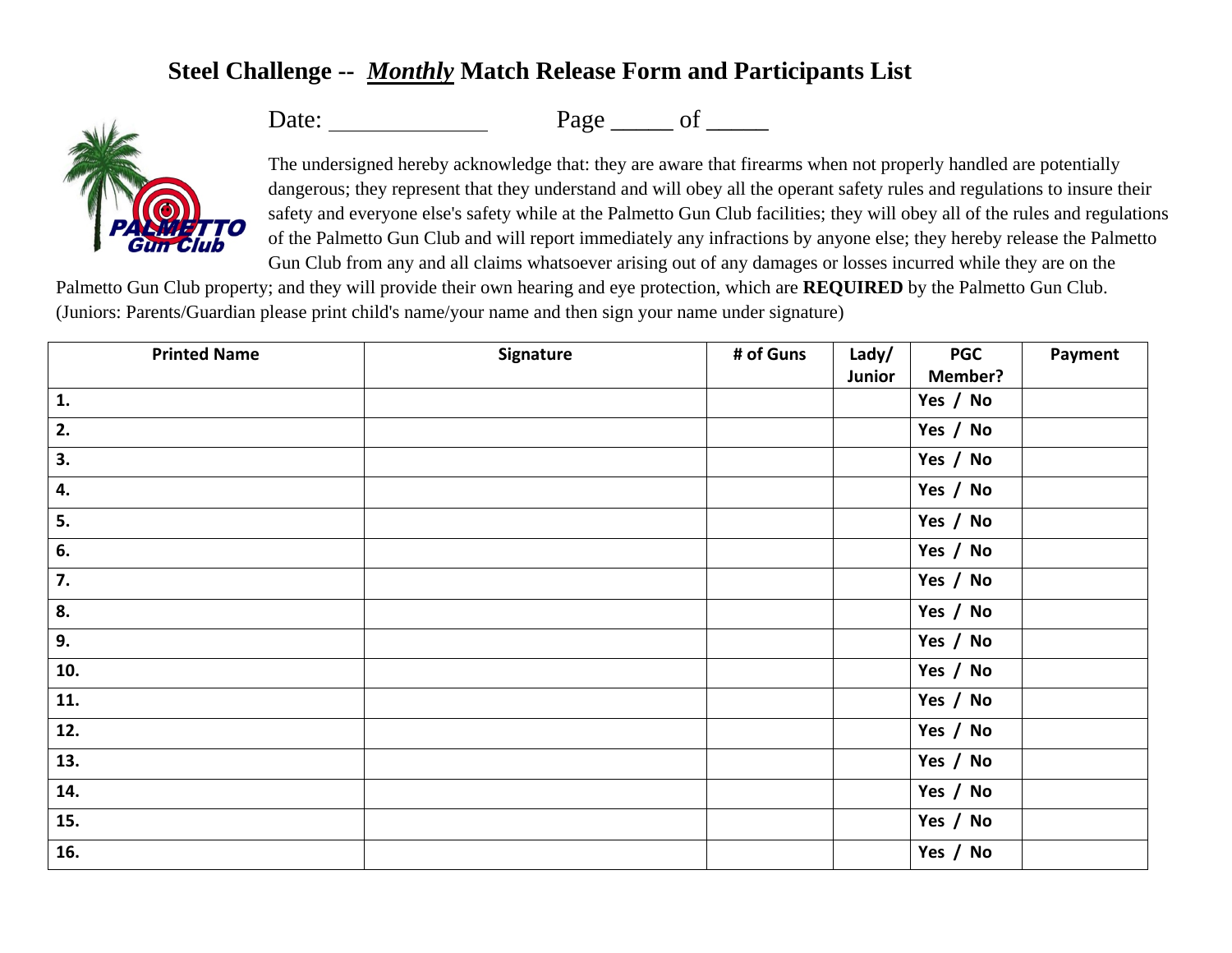## **Steel Challenge --** *Monthly* **Match Release Form and Participants List**

Date: Page \_\_\_\_\_ of \_\_\_\_\_



The undersigned hereby acknowledge that: they are aware that firearms when not properly handled are potentially dangerous; they represent that they understand and will obey all the operant safety rules and regulations to insure their safety and everyone else's safety while at the Palmetto Gun Club facilities; they will obey all of the rules and regulations of the Palmetto Gun Club and will report immediately any infractions by anyone else; they hereby release the Palmetto Gun Club from any and all claims whatsoever arising out of any damages or losses incurred while they are on the

Palmetto Gun Club property; and they will provide their own hearing and eye protection, which are **REQUIRED** by the Palmetto Gun Club. (Juniors: Parents/Guardian please print child's name/your name and then sign your name under signature)

| <b>Printed Name</b> | Signature | # of Guns | Lady/  | <b>PGC</b>     | Payment |
|---------------------|-----------|-----------|--------|----------------|---------|
|                     |           |           | Junior | <b>Member?</b> |         |
| 1.                  |           |           |        | Yes / No       |         |
| 2.                  |           |           |        | Yes / No       |         |
| 3.                  |           |           |        | Yes / No       |         |
| 4.                  |           |           |        | Yes / No       |         |
| 5.                  |           |           |        | Yes / No       |         |
| 6.                  |           |           |        | Yes / No       |         |
| 7.                  |           |           |        | Yes / No       |         |
| 8.                  |           |           |        | Yes / No       |         |
| 9.                  |           |           |        | Yes / No       |         |
| 10.                 |           |           |        | Yes / No       |         |
| 11.                 |           |           |        | Yes / No       |         |
| 12.                 |           |           |        | Yes / No       |         |
| 13.                 |           |           |        | Yes / No       |         |
| 14.                 |           |           |        | Yes / No       |         |
| 15.                 |           |           |        | Yes / No       |         |
| 16.                 |           |           |        | Yes / No       |         |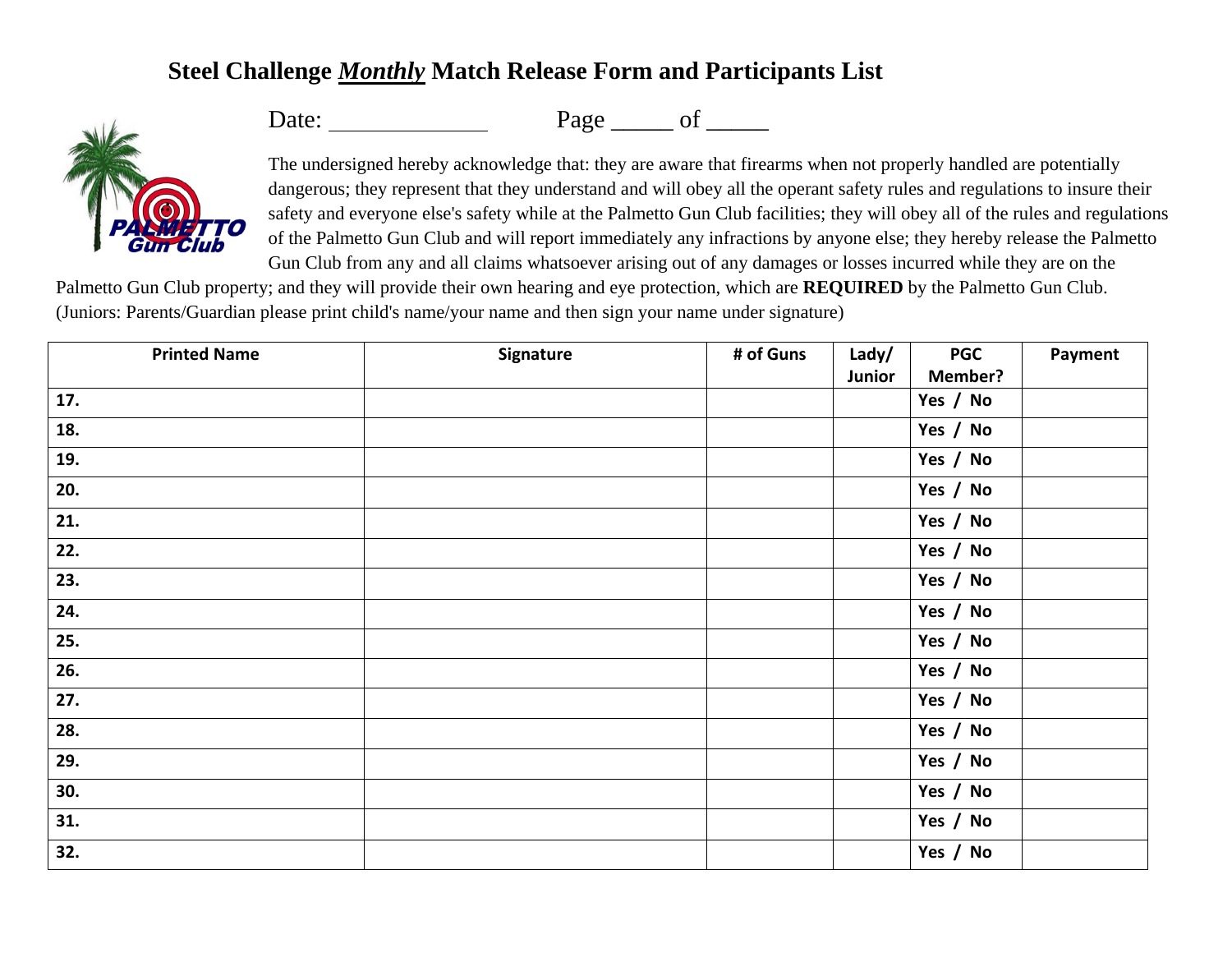## **Steel Challenge** *Monthly* **Match Release Form and Participants List**

Date: Page \_\_\_\_\_ of \_\_\_\_\_



The undersigned hereby acknowledge that: they are aware that firearms when not properly handled are potentially dangerous; they represent that they understand and will obey all the operant safety rules and regulations to insure their safety and everyone else's safety while at the Palmetto Gun Club facilities; they will obey all of the rules and regulations of the Palmetto Gun Club and will report immediately any infractions by anyone else; they hereby release the Palmetto Gun Club from any and all claims whatsoever arising out of any damages or losses incurred while they are on the

Palmetto Gun Club property; and they will provide their own hearing and eye protection, which are **REQUIRED** by the Palmetto Gun Club. (Juniors: Parents/Guardian please print child's name/your name and then sign your name under signature)

| <b>Printed Name</b> | Signature | # of Guns | Lady/  | <b>PGC</b>     | Payment |
|---------------------|-----------|-----------|--------|----------------|---------|
|                     |           |           | Junior | <b>Member?</b> |         |
| 17.                 |           |           |        | Yes / No       |         |
| 18.                 |           |           |        | Yes / No       |         |
| 19.                 |           |           |        | Yes / No       |         |
| 20.                 |           |           |        | Yes / No       |         |
| 21.                 |           |           |        | Yes / No       |         |
| 22.                 |           |           |        | Yes / No       |         |
| 23.                 |           |           |        | Yes / No       |         |
| 24.                 |           |           |        | Yes / No       |         |
| 25.                 |           |           |        | Yes / No       |         |
| 26.                 |           |           |        | Yes / No       |         |
| 27.                 |           |           |        | Yes / No       |         |
| 28.                 |           |           |        | Yes / No       |         |
| 29.                 |           |           |        | Yes / No       |         |
| 30.                 |           |           |        | Yes / No       |         |
| 31.                 |           |           |        | Yes / No       |         |
| 32.                 |           |           |        | Yes / No       |         |